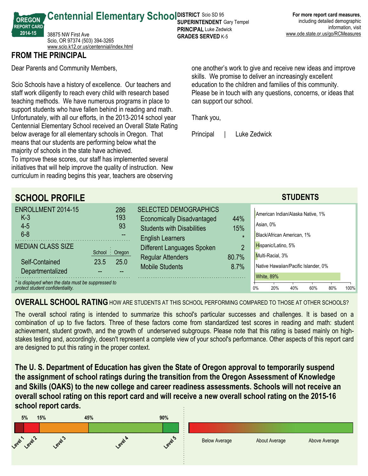**SUPERINTENDENT** Gary Tempel **For more report card measures**, including detailed demographic information, visit www.ode.state.or.us/go/RCMeasures

**Centennial Elementary School SUPER RICT SCIO SD 95** 38875 NW First Ave Scio, OR 97374 (503) 394-3265 <www.scio.k12.or.us/centennial/index.html>

## **FROM THE PRINCIPAL**

**OREGON REPORT CARD 201415**

Dear Parents and Community Members,

Scio Schools have a history of excellence. Our teachers and staff work diligently to reach every child with research based teaching methods. We have numerous programs in place to support students who have fallen behind in reading and math. Unfortunately, with all our efforts, in the 2013-2014 school year Centennial Elementary School received an Overall State Rating below average for all elementary schools in Oregon. That means that our students are performing below what the majority of schools in the state have achieved.

To improve these scores, our staff has implemented several initiatives that will help improve the quality of instruction. New curriculum in reading begins this year, teachers are observing one another's work to give and receive new ideas and improve skills. We promise to deliver an increasingly excellent education to the children and families of this community. Please be in touch with any questions, concerns, or ideas that can support our school.

Thank you,

**PRINCIPAL** Luke Zedwick **GRADES SERVED K-5** 

Principal | Luke Zedwick

| <b>SCHOOL PROFILE</b>                                                                                                                                    |                                |                                                                                                                                   |                       | <b>STUDENTS</b>                                                                                                                         |  |  |  |
|----------------------------------------------------------------------------------------------------------------------------------------------------------|--------------------------------|-----------------------------------------------------------------------------------------------------------------------------------|-----------------------|-----------------------------------------------------------------------------------------------------------------------------------------|--|--|--|
| ENROLLMENT 2014-15<br>$K-3$<br>$4 - 5$<br>$6 - 8$                                                                                                        | 286<br>193<br>93               | <b>SELECTED DEMOGRAPHICS</b><br><b>Economically Disadvantaged</b><br><b>Students with Disabilities</b><br><b>English Learners</b> | 44%<br>15%<br>$\star$ | American Indian/Alaska Native, 1%<br>Asian, 0%<br>Black/African American, 1%                                                            |  |  |  |
| <b>MEDIAN CLASS SIZE</b><br>Self-Contained<br>Departmentalized<br>* is displayed when the data must be suppressed to<br>protect student confidentiality. | School: Oregon<br>25.0<br>23.5 | Different Languages Spoken<br><b>Regular Attenders</b><br><b>Mobile Students</b>                                                  | 2<br>80.7%<br>8.7%    | Hispanic/Latino, 5%<br>Multi-Racial, 3%<br>Native Hawaiian/Pacific Islander, 0%<br>White, 89%<br>0%<br>20%<br>40%<br>100%<br>60%<br>80% |  |  |  |

**OVERALL SCHOOL RATING** HOW ARE STUDENTS AT THIS SCHOOL PERFORMING COMPARED TO THOSE AT OTHER SCHOOLS?

The overall school rating is intended to summarize this school's particular successes and challenges. It is based on a combination of up to five factors. Three of these factors come from standardized test scores in reading and math: student achievement, student growth, and the growth of underserved subgroups. Please note that this rating is based mainly on highstakes testing and, accordingly, doesn't represent a complete view of your school's performance. Other aspects of this report card are designed to put this rating in the proper context.

**The U. S. Department of Education has given the State of Oregon approval to temporarily suspend the assignment of school ratings during the transition from the Oregon Assessment of Knowledge and Skills (OAKS) to the new college and career readiness assessments. Schools will not receive an overall school rating on this report card and will receive a new overall school rating on the 201516 school report cards.**

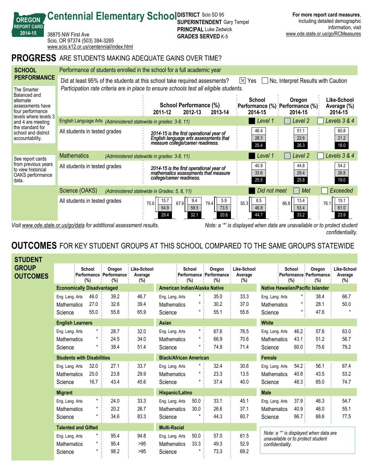|                                                                        | www.scio.k12.or.us/centennial/index.html                                               |                                                                                                                         |                                                      |                                                         |                                       |  |  |
|------------------------------------------------------------------------|----------------------------------------------------------------------------------------|-------------------------------------------------------------------------------------------------------------------------|------------------------------------------------------|---------------------------------------------------------|---------------------------------------|--|--|
|                                                                        | <b>PROGRESS</b> ARE STUDENTS MAKING ADEQUATE GAINS OVER TIME?                          |                                                                                                                         |                                                      |                                                         |                                       |  |  |
| <b>SCHOOL</b>                                                          | Performance of students enrolled in the school for a full academic year                |                                                                                                                         |                                                      |                                                         |                                       |  |  |
| <b>PERFORMANCE</b>                                                     |                                                                                        | Did at least 95% of the students at this school take required assesments?                                               | No, Interpret Results with Caution<br>$ \times $ Yes |                                                         |                                       |  |  |
| The Smarter<br>Balanced and                                            | Participation rate criteria are in place to ensure schools test all eligible students. |                                                                                                                         |                                                      |                                                         |                                       |  |  |
| alternate<br>assessments have<br>four performance                      |                                                                                        | School Performance (%)<br>2012-13<br>2013-14<br>2011-12                                                                 | School<br>2014-15                                    | Oregon<br>:Performance (%) :Performance (%):<br>2014-15 | Like-School<br>Average (%)<br>2014-15 |  |  |
| levels where levels 3<br>and 4 are meeting                             | English Language Arts (Administered statewide in grades: 3-8, 11)                      |                                                                                                                         | Level 1                                              | Level 2                                                 | Levels 3 & 4                          |  |  |
| the standard for<br>school and district<br>accountability.             | All students in tested grades                                                          | 2014-15 is the first operational year of<br>English language arts assessments that<br>measure college/career readiness. | 46.4<br>28.3<br>25.4                                 | 51.1<br>22.6<br>26.3                                    | 60.8<br>21.2<br>18.0                  |  |  |
| See report cards                                                       | <b>Mathematics</b>                                                                     | (Administered statewide in grades: 3-8, 11)                                                                             | Level 1                                              | Level <sub>2</sub>                                      | Levels 3 & 4                          |  |  |
| from previous years<br>to view historical<br>OAKS performance<br>data. | All students in tested grades                                                          | 2014-15 is the first operational year of<br>mathematics assessments that measure<br>college/career readiness.           | 40.9<br>33.6<br>25.5                                 | 44.8<br>29.4<br>25.8                                    | 54.2<br>26.8<br>19.0                  |  |  |
|                                                                        | Science (OAKS)                                                                         | (Administered statewide in Grades: 5, 8, 11)                                                                            | Did not meet                                         | Met                                                     | Exceeded                              |  |  |
|                                                                        | All students in tested grades                                                          | 5.9<br>15.7<br>9.4<br>67.9<br>70.6<br>79.4<br>73.5<br>54.9<br>58.5<br>20.6<br>32.1<br>29.4                              | 8.5<br>55.3<br>46.8<br>44.7                          | 13.4<br>66.8<br>53.4<br>33.2                            | 15.1<br>76.1<br>61.0<br>23.9          |  |  |

**SUPERINTENDENT** Gary Tempel **PRINCIPAL** Luke Zedwick **GRADES SERVED K-5** 

**Centennial Elementary School SUPER RICT SCIO SD 95** 

**OREGON REPORT CARD 201415**

38875 NW First Ave

Scio, OR 97374 (503) 394-3265

*Visit www.ode.state.or.us/go/data for additional assessment results. Note: a '\*' is displayed when data are unavailable or to protect student confidentiality.*

**For more report card measures**, including detailed demographic

www.ode.state.or.us/go/RCMeasures

information, visit

# **OUTCOMES** FOR KEY STUDENT GROUPS AT THIS SCHOOL COMPARED TO THE SAME GROUPS STATEWIDE

| <b>STUDENT</b>                  |                                                  |                                   |                                          |                               |                                                  |                    |                                          |                               |                                                                                                 |                           |                                          |                                  |
|---------------------------------|--------------------------------------------------|-----------------------------------|------------------------------------------|-------------------------------|--------------------------------------------------|--------------------|------------------------------------------|-------------------------------|-------------------------------------------------------------------------------------------------|---------------------------|------------------------------------------|----------------------------------|
| <b>GROUP</b><br><b>OUTCOMES</b> |                                                  | School<br>(%)                     | Oregon<br>Performance Performance<br>(%) | Like-School<br>Average<br>(%) |                                                  | School<br>(%)      | Oregon<br>Performance Performance<br>(%) | Like-School<br>Average<br>(%) | School<br>(%)                                                                                   |                           | Oregon<br>Performance Performance<br>(%) | Like-School<br>Average<br>$(\%)$ |
|                                 |                                                  | <b>Economically Disadvantaged</b> |                                          |                               | American Indian/Alaska Native                    |                    |                                          |                               | <b>Native Hawaiian/Pacific Islander</b>                                                         |                           |                                          |                                  |
|                                 | Eng. Lang. Arts<br><b>Mathematics</b><br>Science | 46.0<br>27.0<br>55.0              | 39.2<br>32.6<br>55.8                     | 46.7<br>39.4<br>65.9          | Eng. Lang. Arts<br><b>Mathematics</b><br>Science | $^\star$<br>*<br>* | 35.0<br>30.2<br>55.1                     | 33.3<br>37.0<br>55.6          | Eng. Lang. Arts<br><b>Mathematics</b><br>Science                                                | $\star$ .                 | 38.4<br>28.1<br>47.6                     | 66.7<br>50.0<br>$\star$          |
|                                 | <b>English Learners</b>                          |                                   |                                          |                               | <b>Asian</b>                                     |                    |                                          |                               | <b>White</b>                                                                                    |                           |                                          |                                  |
|                                 | Eng. Lang. Arts<br>Mathematics<br>Science        |                                   | 28.7<br>24.5<br>38.4                     | 32.0<br>34.0<br>51.4          | Eng. Lang. Arts<br><b>Mathematics</b><br>Science | $\star$ .<br>*     | 67.6<br>66.9<br>74.9                     | 76.5<br>70.6<br>71.4          | Eng. Lang. Arts<br><b>Mathematics</b><br>Science                                                | 46.2:<br>43.1<br>$60.0$ . | 57.6<br>51.2<br>75.6                     | 63.0<br>56.7<br>79.2             |
|                                 |                                                  | <b>Students with Disabilities</b> |                                          |                               | <b>Black/African American</b>                    |                    |                                          |                               | Female                                                                                          |                           |                                          |                                  |
|                                 | Eng. Lang. Arts<br><b>Mathematics</b><br>Science | 32.0<br>25.0<br>16.7              | 27.1<br>23.8<br>43.4                     | 33.7<br>29.9<br>45.6          | Eng. Lang. Arts<br>Mathematics<br>Science        | *<br>*             | 32.4<br>23.3<br>37.4                     | 30.6<br>13.5<br>40.0          | Eng. Lang. Arts<br><b>Mathematics</b><br>Science                                                | 54.2:<br>40.8:<br>48.3    | 56.1<br>43.5<br>65.0                     | 67.4<br>53.2<br>74.7             |
|                                 | <b>Migrant</b>                                   |                                   |                                          |                               | Hispanic/Latino                                  |                    |                                          |                               | <b>Male</b>                                                                                     |                           |                                          |                                  |
|                                 | Eng. Lang. Arts<br><b>Mathematics</b><br>Science | $\star$ .<br>$\star$              | 24.0<br>20.2<br>34.6                     | 33.3<br>26.7<br>83.3          | Eng. Lang. Arts<br><b>Mathematics</b><br>Science | 50.0<br>30.0       | 33.1<br>26.6<br>44.3                     | 45.1<br>37.1<br>60.7          | Eng. Lang. Arts<br><b>Mathematics</b><br>Science                                                | 37.9:<br>40.9:<br>66.7    | 46.3<br>46.0<br>68.6                     | 54.7<br>55.1<br>77.5             |
|                                 |                                                  | <b>Talented and Gifted</b>        |                                          |                               | <b>Multi-Racial</b>                              |                    |                                          |                               |                                                                                                 |                           |                                          |                                  |
|                                 | Eng. Lang. Arts<br><b>Mathematics</b><br>Science | *                                 | 95.4<br>95.4<br>98.2                     | 94.8<br>>95<br>>95            | Eng. Lang. Arts<br><b>Mathematics</b><br>Science | 50.0<br>33.3       | 57.0<br>49.3<br>73.3                     | 61.5<br>52.9<br>69.2          | Note: a "*' is displayed when data are<br>unavailable or to protect student<br>confidentiality. |                           |                                          |                                  |